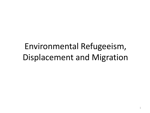## Environmental Refugeeism, Displacement and Migration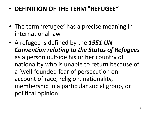## • **DEFINITION OF THE TERM "REFUGEE"**

- The term 'refugee' has a precise meaning in international law.
- A refugee is defined by the *1951 UN Convention relating to the Status of Refugees*  as a person outside his or her country of nationality who is unable to return because of a 'well-founded fear of persecution on account of race, religion, nationality, membership in a particular social group, or political opinion'.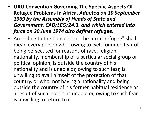- **OAU Convention Governing The Specific Aspects Of Refugee Problems In Africa,** *Adopted on 10 September 1969 by the Assembly of Heads of State and Government. CAB/LEG/24.3. and which entered into force on 20 June 1974 also defines refugee.*
- According to the Convention, the term "refugee" shall mean every person who, owing to well-founded fear of being persecuted for reasons of race, religion, nationality, membership of a particular social group or political opinion, is outside the country of his nationality and is unable or, owing to such fear, is unwilling to avail himself of the protection of that country, or who, not having a nationality and being outside the country of his former habitual residence as a result of such events, is unable or, owing to such fear, is unwilling to return to it.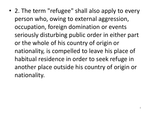• 2. The term "refugee" shall also apply to every person who, owing to external aggression, occupation, foreign domination or events seriously disturbing public order in either part or the whole of his country of origin or nationality, is compelled to leave his place of habitual residence in order to seek refuge in another place outside his country of origin or nationality.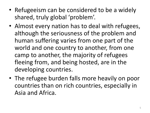- Refugeeism can be considered to be a widely shared, truly global 'problem'.
- Almost every nation has to deal with refugees, although the seriousness of the problem and human suffering varies from one part of the world and one country to another, from one camp to another, the majority of refugees fleeing from, and being hosted, are in the developing countries.
- The refugee burden falls more heavily on poor countries than on rich countries, especially in Asia and Africa.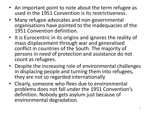- An important point to note about the term refugee as used in the 1951 Convention is its restrictiveness.
- Many refugee advocates and non-governmental organisations have pointed to the inadequacies of the 1951 Convention definition.
- It is Eurocentric in its origins and ignores the reality of mass displacement through war and generalised conflict in countries of the South. The majority of persons in need of protection and assistance do not count as refugees.
- Despite the increasing role of environmental challenges in displacing people and turning them into refugees, they are not so regarded internationally
- Clearly, someone who flees due to environmental problems does not fall under the 1951 Convention's definition. Nobody gets asylum just because of environmental degradation.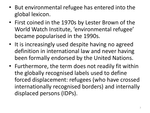- But environmental refugee has entered into the global lexicon.
- First coined in the 1970s by Lester Brown of the World Watch Institute, 'environmental refugee' became popularised in the 1990s.
- It is increasingly used despite having no agreed definition in international law and never having been formally endorsed by the United Nations.
- Furthermore, the term does not readily fit within the globally recognised labels used to define forced displacement: refugees (who have crossed internationally recognised borders) and internally displaced persons (IDPs).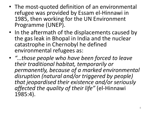- The most-quoted definition of an environmental refugee was provided by Essam el-Hinnawi in 1985, then working for the UN Environment Programme (UNEP).
- In the aftermath of the displacements caused by the gas leak in Bhopal in India and the nuclear catastrophe in Chernobyl he defined environmental refugees as:
- *"…those people who have been forced to leave their traditional habitat, temporarily or permanently, because of a marked environmental disruption (natural and/or triggered by people) that jeopardised their existence and/or seriously affected the quality of their life"* (el-Hinnawi 1985:4).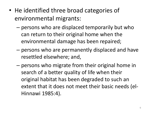- He identified three broad categories of environmental migrants:
	- persons who are displaced temporarily but who can return to their original home when the environmental damage has been repaired;
	- persons who are permanently displaced and have resettled elsewhere; and,
	- persons who migrate from their original home in search of a better quality of life when their original habitat has been degraded to such an extent that it does not meet their basic needs (el-Hinnawi 1985:4).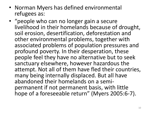- Norman Myers has defined environmental refugees as:
- "people who can no longer gain a secure livelihood in their homelands because of drought, soil erosion, desertification, deforestation and other environmental problems, together with associated problems of population pressures and profound poverty. In their desperation, these people feel they have no alternative but to seek sanctuary elsewhere, however hazardous the attempt. Not all of them have fled their countries, many being internally displaced. But all have abandoned their homelands on a semipermanent if not permanent basis, with little hope of a foreseeable return" (Myers 2005:6-7).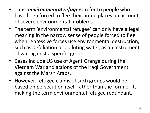- Thus, *environmental refugees* refer to people who have been forced to flee their home places on account of severe environmental problems.
- The term 'environmental refugee' can only have a legal meaning in the narrow sense of people forced to flee when repressive forces use environmental destruction, such as defoliation or polluting water, as an instrument of war against a specific group.
- Cases include US use of Agent Orange during the Vietnam War and actions of the Iraqi Government against the Marsh Arabs.
- However, refugee claims of such groups would be based on persecution itself rather than the form of it, making the term environmental refugee redundant.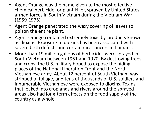- Agent Orange was the name given to the most effective chemical herbicide, or plant killer, sprayed by United States armed forces in South Vietnam during the Vietnam War (1959-1975).
- Agent Orange penetrated the waxy covering of leaves to poison the entire plant.
- Agent Orange contained extremely toxic by-products known as dioxins. Exposure to dioxins has been associated with severe birth defects and certain rare cancers in humans.
- More than 19 million gallons of herbicides were sprayed in South Vietnam between 1961 and 1970. By destroying trees and crops, the U.S. military hoped to expose the hiding places of the National Liberation Front and the North Vietnamese army. About 12 percent of South Vietnam was stripped of foliage, and tens of thousands of U.S. soldiers and innumerable Vietnamese were exposed to dioxins. Toxins that leaked into croplands and rivers around the sprayed areas also had long-term effects on the food supply of the country as a whole.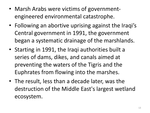- Marsh Arabs were victims of governmentengineered environmental catastrophe.
- Following an abortive uprising against the Iraqi's Central government in 1991, the government began a systematic drainage of the marshlands.
- Starting in 1991, the Iraqi authorities built a series of dams, dikes, and canals aimed at preventing the waters of the Tigris and the Euphrates from flowing into the marshes.
- The result, less than a decade later, was the destruction of the Middle East's largest wetland ecosystem.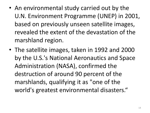- An environmental study carried out by the U.N. Environment Programme (UNEP) in 2001, based on previously unseen satellite images, revealed the extent of the devastation of the marshland region.
- The satellite images, taken in 1992 and 2000 by the U.S.'s National Aeronautics and Space Administration (NASA), confirmed the destruction of around 90 percent of the marshlands, qualifying it as "one of the world's greatest environmental disasters."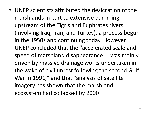• UNEP scientists attributed the desiccation of the marshlands in part to extensive damming upstream of the Tigris and Euphrates rivers (involving Iraq, Iran, and Turkey), a process begun in the 1950s and continuing today. However, UNEP concluded that the "accelerated scale and speed of marshland disappearance ... was mainly driven by massive drainage works undertaken in the wake of civil unrest following the second Gulf War in 1991," and that "analysis of satellite imagery has shown that the marshland ecosystem had collapsed by 2000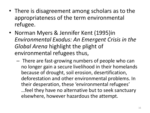- There is disagreement among scholars as to the appropriateness of the term environmental refugee.
- Norman Myers & Jennifer Kent (1995)in *Environmental Exodus: An Emergent Crisis in the Global Arena* highlight the plight of environmental refugees thus,
	- There are fast-growing numbers of people who can no longer gain a secure livelihood in their homelands because of drought, soil erosion, desertification, deforestation and other environmental problems. In their desperation, these 'environmental refugees' …feel they have no alternative but to seek sanctuary elsewhere, however hazardous the attempt.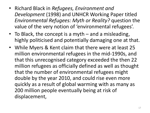- Richard Black in *Refugees, Environment and Development* (1998) and UNHCR Working Paper titled *Environmental Refugees: Myth or Reality?* question the value of the very notion of 'environmental refugees'.
- To Black, the concept is a myth and a misleading, highly politicised and potentially damaging one at that.
- While Myers & Kent claim that there were at least 25 million environmental refugees in the mid-1990s, and that this unrecognised category exceeded the then 22 million refugees as officially defined as well as thought that the number of environmental refugees might double by the year 2010, and could rise even more quickly as a result of global warming with as many as 200 million people eventually being at risk of displacement,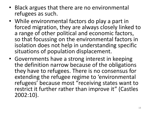- Black argues that there are no environmental refugees as such.
- While environmental factors do play a part in forced migration, they are always closely linked to a range of other political and economic factors, so that focussing on the environmental factors in isolation does not help in understanding specific situations of population displacement.
- Governments have a strong interest in keeping the definition narrow because of the obligations they have to refugees. There is no consensus for extending the refugee regime to 'environmental refugees' because most "receiving states want to restrict it further rather than improve it" (Castles 2002:10).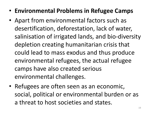- **Environmental Problems in Refugee Camps**
- Apart from environmental factors such as desertification, deforestation, lack of water, salinisation of irrigated lands, and bio-diversity depletion creating humanitarian crisis that could lead to mass exodus and thus produce environmental refugees, the actual refugee camps have also created serious environmental challenges.
- Refugees are often seen as an economic, social, political or environmental burden or as a threat to host societies and states.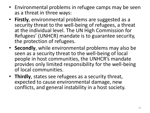- Environmental problems in refugee camps may be seen as a threat in three ways:
- **Firstly**, environmental problems are suggested as a security threat to the well-being of refugees, a threat at the individual level. The UN High Commission for Refugees' (UNHCR) mandate is to guarantee security, the protection of refugees.
- **Secondly**, while environmental problems may also be seen as a security threat to the well-being of local people in host communities, the UNHCR's mandate provides only limited responsibility for the well-being of local communities.
- **Thirdly**, states see refugees as a security threat, expected to cause environmental damage, new conflicts, and general instability in a host society.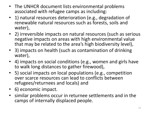- The UNHCR document lists environmental problems associated with refugee camps as including:
- 1) natural resources deterioration (e.g., degradation of renewable natural resources such as forests, soils and water),
- 2) irreversible impacts on natural resources (such as serious negative impacts on areas with high environmental value that may be related to the area's high biodiversity level),
- 3) impacts on health (such as contamination of drinking water),
- 4) impacts on social conditions (e.g., women and girls have to walk long distances to gather firewood),
- 5) social impacts on local populations (e.g., competition over scarce resources can lead to conflicts between refugees/returnees and locals) and
- 6) economic impact.
- similar problems occur in returnee settlements and in the camps of internally displaced people.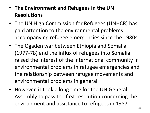- **The Environment and Refugees in the UN Resolutions**
- The UN High Commission for Refugees (UNHCR) has paid attention to the environmental problems accompanying refugee emergencies since the 1980s.
- The Ogaden war between Ethiopia and Somalia (1977-78) and the influx of refugees into Somalia raised the interest of the international community in environmental problems in refugee emergencies and the relationship between refugee movements and environmental problems in general.
- However, it took a long time for the UN General Assembly to pass the first resolution concerning the environment and assistance to refugees in 1987.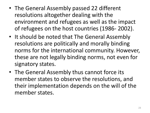- The General Assembly passed 22 different resolutions altogether dealing with the environment and refugees as well as the impact of refugees on the host countries (1986- 2002).
- It should be noted that The General Assembly resolutions are politically and morally binding norms for the international community. However, these are not legally binding norms, not even for signatory states.
- The General Assembly thus cannot force its member states to observe the resolutions, and their implementation depends on the will of the member states.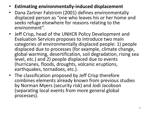- **Estimating environmentally-induced displacement**
- Dana Zartner Falstrom (2001) defines environmentally displaced person as "one who leaves his or her home and seeks refuge elsewhere for reasons relating to the environment".
- Jeff Crisp, head of the UNHCR Policy Development and Evaluation Services proposes to introduce two main categories of environmentally displaced people: 1) people displaced due to processes (for example, climate change, global warming, desertification, soil degradation, rising sea level, etc.) and 2) people displaced due to events (hurricanes, floods, droughts, volcanic eruptions, earthquakes, tornadoes, etc.).
- The classification proposed by Jeff Crisp therefore combines elements already known from previous studies by Norman Myers (security risk) and Jodi Jacobson (separating local events from more general global processes).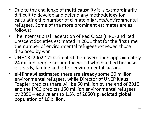- Due to the challenge of multi-causality it is extraordinarily difficult to develop and defend any methodology for calculating the number of climate migrants/environmental refugees. Some of the more prominent estimates are as follows:
- The International Federation of Red Cross (IFRC) and Red Crescent Societies estimated in 2001 that for the first time the number of environmental refugees exceeded those displaced by war.
- UNHCR (2002:12) estimated there were then approximately 24 million people around the world who had fled because of floods, famine and other environmental factors.
- el-Hinnawi estimated there are already some 30 million environmental refugees, while Director of UNEP Klaus Toepfer predicts there will be 50 million by the end of 2010 and the IPCC predicts 150 million environmental refugees by 2050 – equivalent to 1.5% of 2050's predicted global population of 10 billion.